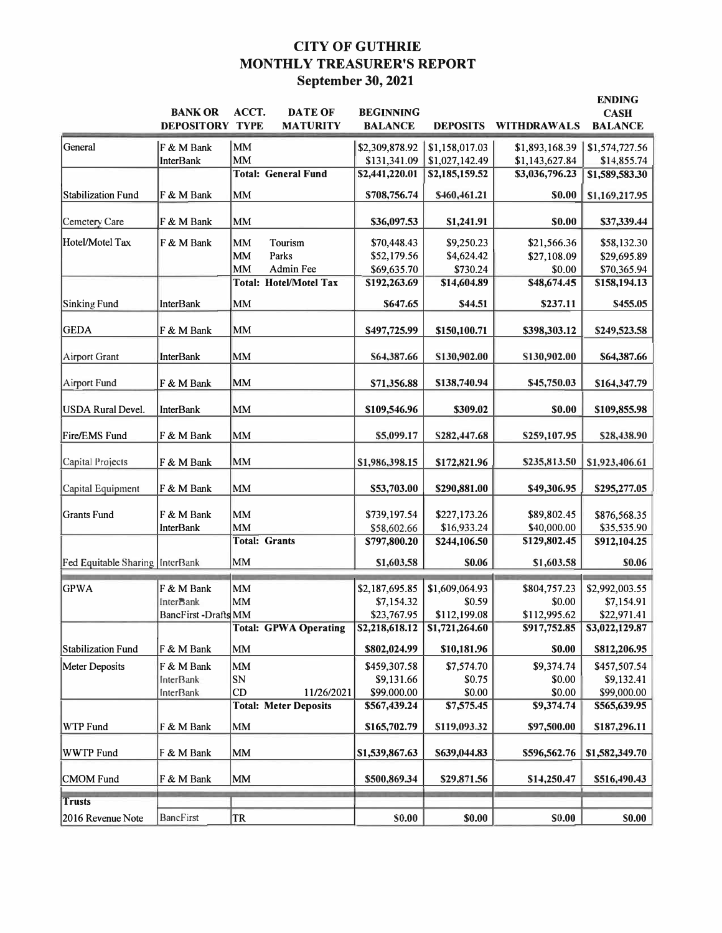# **CITY OF GUTHRIE MONTHLY TREASURER'S REPORT September 30, 2021**

|                                   | <b>BANK OR</b><br><b>DEPOSITORY TYPE</b> | ACCT.       | <b>DATE OF</b><br><b>MATURITY</b> | <b>BEGINNING</b><br><b>BALANCE</b> | <b>DEPOSITS</b> | <b>WITHDRAWALS</b> | <b>ENDING</b><br><b>CASH</b><br><b>BALANCE</b> |
|-----------------------------------|------------------------------------------|-------------|-----------------------------------|------------------------------------|-----------------|--------------------|------------------------------------------------|
| General                           | F & M Bank                               | MM          |                                   | \$2,309,878.92                     | \$1,158,017.03  | \$1,893,168.39     | \$1,574,727.56                                 |
|                                   | <b>InterBank</b>                         | MM          |                                   | \$131,341.09                       | \$1,027,142.49  | \$1,143,627.84     | \$14,855.74                                    |
|                                   |                                          |             | <b>Total: General Fund</b>        | \$2,441,220.01                     | \$2,185,159.52  | \$3,036,796.23     | \$1,589,583.30                                 |
| <b>Stabilization Fund</b>         | F & M Bank                               | MM          |                                   | \$708,756.74                       | \$460,461.21    | \$0.00             | \$1,169,217.95                                 |
| Cemetery Care                     | F & M Bank                               | MM          |                                   | \$36,097.53                        | \$1,241.91      | \$0.00             | \$37,339.44                                    |
| Hotel/Motel Tax                   | F & M Bank                               | MM          | Tourism                           | \$70,448.43                        | \$9,250.23      | \$21,566.36        | \$58,132.30                                    |
|                                   |                                          | MM          | Parks                             | \$52,179.56                        | \$4,624.42      | \$27,108.09        | \$29,695.89                                    |
|                                   |                                          | MM          | Admin Fee                         | \$69,635.70                        | \$730.24        | \$0.00             | \$70,365.94                                    |
|                                   |                                          |             | <b>Total: Hotel/Motel Tax</b>     | \$192,263.69                       | \$14,604.89     | \$48,674.45        | \$158,194.13                                   |
| <b>Sinking Fund</b>               | <b>InterBank</b>                         | MM          |                                   | \$647.65                           | \$44.51         | \$237.11           | \$455.05                                       |
| <b>GEDA</b>                       | F & M Bank                               | MM          |                                   | \$497,725.99                       | \$150,100.71    | \$398,303.12       | \$249,523.58                                   |
| <b>Airport Grant</b>              | <b>InterBank</b>                         | <b>MM</b>   |                                   | S64,387.66                         | S130,902.00     | S130,902.00        | \$64,387.66                                    |
| <b>Airport Fund</b>               | F & M Bank                               | <b>MM</b>   |                                   | \$71,356.88                        | \$138,740.94    | \$45,750.03        | \$164,347.79                                   |
|                                   |                                          |             |                                   |                                    |                 |                    |                                                |
| <b>USDA Rural Devel.</b>          | <b>InterBank</b>                         | MM          |                                   | \$109,546.96                       | \$309.02        | \$0.00             | \$109,855.98                                   |
| Fire/EMS Fund                     | F & M Bank                               | MM          |                                   | \$5,099.17                         | S282,447.68     | S259,107.95        | \$28,438.90                                    |
| Capital Projects                  | F & M Bank                               | MM          |                                   | \$1,986,398.15                     | \$172,821.96    | \$235,813.50       | \$1,923,406.61                                 |
| Capital Equipment                 | F & M Bank                               | MM          |                                   | \$53,703.00                        | \$290,881.00    | \$49,306.95        | \$295,277.05                                   |
| Grants Fund                       | F & M Bank                               | <b>MM</b>   |                                   | \$739,197.54                       | \$227,173.26    | \$89,802.45        | \$876,568.35                                   |
|                                   | <b>InterBank</b>                         | <b>MM</b>   |                                   | \$58,602.66                        | \$16,933.24     | \$40,000.00        | \$35,535.90                                    |
|                                   |                                          |             | <b>Total: Grants</b>              | \$797,800.20                       | \$244,106.50    | \$129,802.45       | \$912,104.25                                   |
| Fed Equitable Sharing   InterBank |                                          | MM          |                                   | \$1,603.58                         | \$0.06          | \$1,603.58         | \$0.06                                         |
| <b>GPWA</b>                       | F & M Bank                               | <b>MM</b>   |                                   | \$2,187,695.85                     | \$1,609,064.93  | \$804,757.23       | \$2,992,003.55                                 |
|                                   | <b>InterBank</b>                         | MM          |                                   | \$7,154.32                         | \$0.59          | \$0.00             | \$7,154.91                                     |
|                                   | <b>BancFirst-Drafts</b> MM               |             |                                   | \$23,767.95                        | \$112,199.08    | \$112,995.62       | \$22,971.41                                    |
|                                   |                                          |             | <b>Total: GPWA Operating</b>      | \$2,218,618.12                     | \$1,721,264.60  | \$917,752.85       | \$3,022,129.87                                 |
| Stabilization Fund                | F & M Bank                               | MM          |                                   | \$802,024.99                       | \$10,181.96     | \$0.00             | \$812,206.95                                   |
| Meter Deposits                    | F & M Bank                               | $\text{MM}$ |                                   | \$459,307.58                       | \$7,574.70      | \$9,374.74         | \$457,507.54                                   |
|                                   | <b>InterBank</b>                         | ${\bf SN}$  |                                   | \$9,131.66                         | \$0.75          | \$0.00             | \$9,132.41                                     |
|                                   | <b>InterBank</b>                         | CD          | 11/26/2021                        | \$99,000.00                        | \$0.00          | \$0.00             | \$99,000.00                                    |
|                                   |                                          |             | <b>Total: Meter Deposits</b>      | \$567,439.24                       | \$7,575.45      | \$9,374.74         | \$565,639.95                                   |
| WTP Fund                          | F & M Bank                               | MM          |                                   | \$165,702.79                       | \$119,093.32    | \$97,500.00        | \$187,296.11                                   |
| WWTP Fund                         | F & M Bank                               | MM          |                                   | \$1,539,867.63                     | \$639,044.83    | \$596,562.76       | \$1,582,349.70                                 |
| <b>CMOM</b> Fund                  | F & M Bank                               | <b>MM</b>   |                                   | \$500,869.34                       | \$29,871.56     | \$14,250.47        | \$516,490.43                                   |
| <b>Trusts</b>                     |                                          |             |                                   |                                    |                 |                    |                                                |
| 2016 Revenue Note                 | <b>BancFirst</b>                         | TR          |                                   | <b>S0.00</b>                       | \$0.00          | S0.00              | <b>S0.00</b>                                   |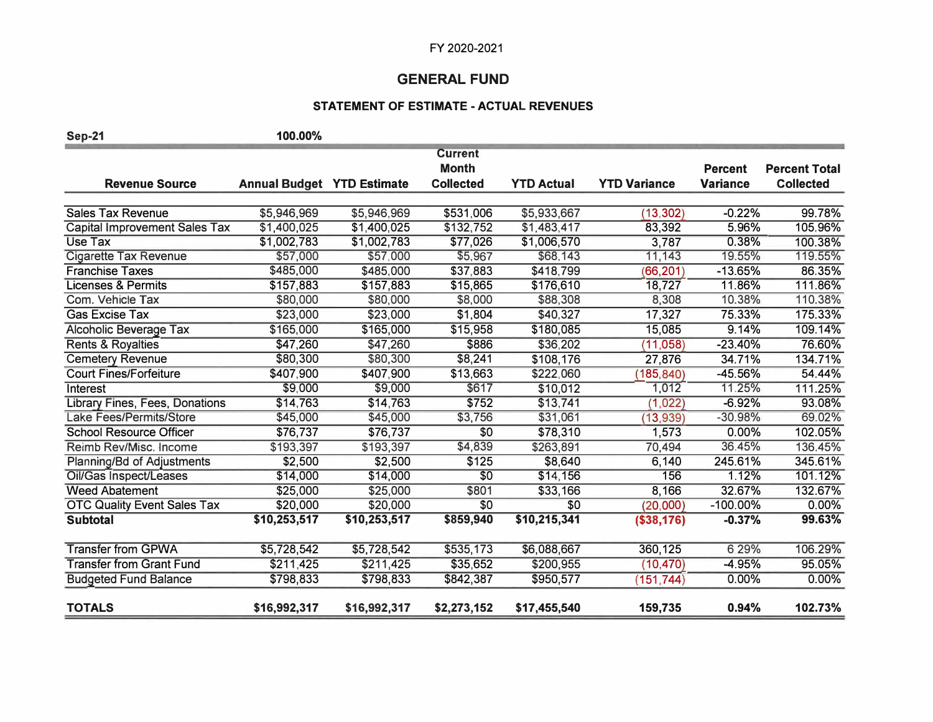## **GENERAL FUND**

## **STATEMENT OF ESTIMATE -ACTUAL REVENUES**

| <b>Sep-21</b>                        | 100.00%                           |              |                                |                   |                     |                 |                      |
|--------------------------------------|-----------------------------------|--------------|--------------------------------|-------------------|---------------------|-----------------|----------------------|
|                                      |                                   |              | <b>Current</b><br><b>Month</b> |                   |                     | <b>Percent</b>  | <b>Percent Total</b> |
| <b>Revenue Source</b>                | <b>Annual Budget YTD Estimate</b> |              | <b>Collected</b>               | <b>YTD Actual</b> | <b>YTD Variance</b> | <b>Variance</b> | <b>Collected</b>     |
|                                      |                                   |              |                                |                   |                     |                 |                      |
| <b>Sales Tax Revenue</b>             | \$5,946,969                       | \$5,946,969  | \$531,006                      | \$5,933,667       | (13, 302)           | $-0.22%$        | 99.78%               |
| <b>Capital Improvement Sales Tax</b> | \$1,400,025                       | \$1,400,025  | \$132,752                      | \$1,483,417       | 83,392              | 5.96%           | 105.96%              |
| Use Tax                              | \$1,002,783                       | \$1,002,783  | \$77,026                       | \$1,006,570       | 3,787               | 0.38%           | 100.38%              |
| <b>Cigarette Tax Revenue</b>         | \$57,000                          | \$57,000     | \$5,967                        | \$68,143          | 11,143              | 19.55%          | 119.55%              |
| <b>Franchise Taxes</b>               | \$485,000                         | \$485,000    | \$37,883                       | \$418,799         | (66, 201)           | $-13.65%$       | 86.35%               |
| <b>Licenses &amp; Permits</b>        | \$157,883                         | \$157,883    | \$15,865                       | \$176,610         | 18,727              | 11.86%          | 111.86%              |
| Com. Vehicle Tax                     | \$80,000                          | \$80,000     | \$8,000                        | \$88,308          | 8,308               | 10.38%          | 110.38%              |
| <b>Gas Excise Tax</b>                | \$23,000                          | \$23,000     | \$1,804                        | \$40,327          | 17,327              | 75.33%          | 175.33%              |
| Alcoholic Beverage Tax               | \$165,000                         | \$165,000    | \$15,958                       | \$180,085         | 15,085              | 9.14%           | 109.14%              |
| <b>Rents &amp; Royalties</b>         | \$47,260                          | \$47,260     | \$886                          | \$36,202          | (11, 058)           | $-23.40%$       | 76.60%               |
| <b>Cemetery Revenue</b>              | \$80,300                          | \$80,300     | \$8,241                        | \$108,176         | 27,876              | 34.71%          | 134.71%              |
| <b>Court Fines/Forfeiture</b>        | \$407,900                         | \$407,900    | \$13,663                       | \$222,060         | (185, 840)          | -45.56%         | 54.44%               |
| Interest                             | \$9,000                           | \$9,000      | \$617                          | \$10,012          | 1,012               | 11.25%          | 111.25%              |
| Library Fines, Fees, Donations       | \$14,763                          | \$14,763     | \$752                          | \$13,741          | (1,022)             | $-6.92%$        | 93.08%               |
| Lake Fees/Permits/Store              | \$45,000                          | \$45,000     | \$3,756                        | \$31,061          | (13, 939)           | $-30.98%$       | 69.02%               |
| <b>School Resource Officer</b>       | \$76,737                          | \$76,737     | \$0                            | \$78,310          | 1,573               | 0.00%           | 102.05%              |
| Reimb Rev/Misc. Income               | \$193,397                         | \$193,397    | \$4,839                        | \$263,891         | 70,494              | 36.45%          | 136.45%              |
| Planning/Bd of Adjustments           | \$2,500                           | \$2,500      | \$125                          | \$8,640           | 6,140               | 245.61%         | 345.61%              |
| Oil/Gas Inspect/Leases               | \$14,000                          | \$14,000     | $\overline{50}$                | \$14,156          | 156                 | 1.12%           | 101.12%              |
| <b>Weed Abatement</b>                | \$25,000                          | \$25,000     | \$801                          | \$33,166          | 8,166               | 32.67%          | 132.67%              |
| <b>OTC Quality Event Sales Tax</b>   | \$20,000                          | \$20,000     | $\overline{50}$                | \$0               | (20,000)            | $-100.00\%$     | 0.00%                |
| <b>Subtotal</b>                      | \$10,253,517                      | \$10,253,517 | \$859,940                      | \$10,215,341      | ( \$38, 176)        | $-0.37%$        | 99.63%               |
| <b>Transfer from GPWA</b>            | \$5,728,542                       | \$5,728,542  | \$535,173                      | \$6,088,667       | 360,125             | 6.29%           | 106.29%              |
| <b>Transfer from Grant Fund</b>      | \$211,425                         | \$211,425    | \$35,652                       | \$200,955         | (10, 470)           | $-4.95%$        | 95.05%               |
| <b>Budgeted Fund Balance</b>         | \$798,833                         | \$798,833    | \$842,387                      | \$950,577         | (151, 744)          | 0.00%           | 0.00%                |
| <b>TOTALS</b>                        | \$16,992,317                      | \$16,992,317 | \$2,273,152                    | \$17,455,540      | 159,735             | 0.94%           | 102.73%              |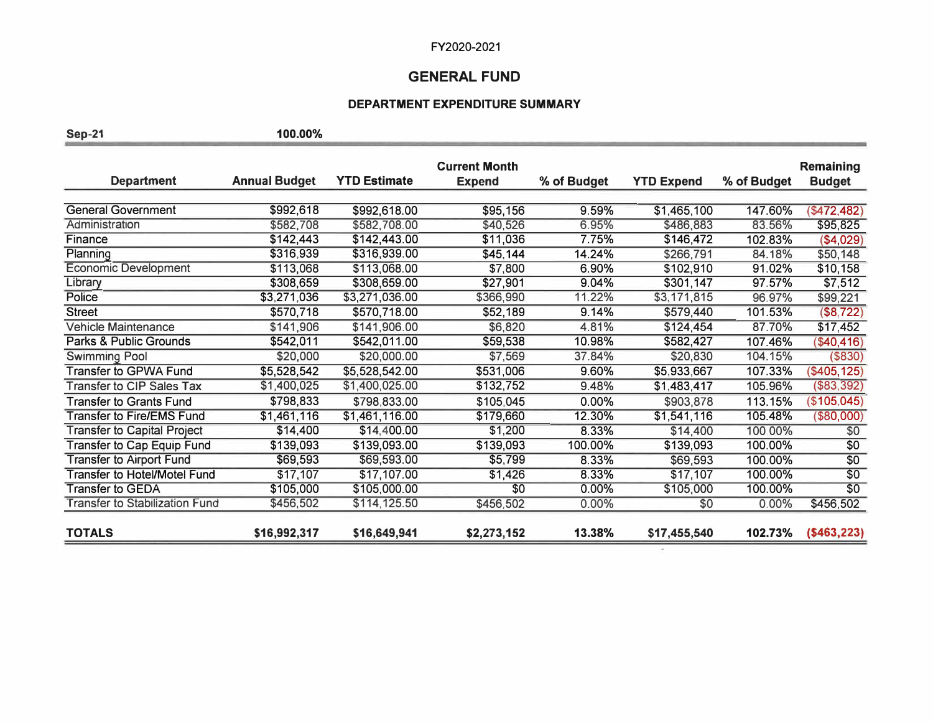#### **GENERAL FUND**

#### **DEPARTMENT EXPENDITURE SUMMARY**

**Sep-21 100.00%** 

**Current Month Remaining Department Annual Budget YTD Estimate Expend % of Budget YTD Expend % of Budget Budget**  General Government  $$992,618$   $$992,618.00$   $$95,156$   $9.59\%$   $$1,465,100$   $147.60\%$   $$472,482)$ Administration \$582,708 \$582,708.00 \$40,526 6.95% \$486,883 83.56% \$95,825 Finance \$142,443 \$142,443.00 \$11,036 7.75% **\$146,472** 102.83% (\$4,029} Planning \$316,939 \$316,939.00 **\$45,144** 14.24% \$266,791 84.18% \$50,148 Economic Development **5113,068 \$113,068.00** \$7,800 6.90% \$102,910 91.02% \$10,158<br>Library \$308,659 \$308,659.00 \$27,901 9.04% \$301,147 97.57% \$7,512 Library \$308,659 \$308,659.00 \$27,901 9.04% \$301,147 97.57% \$7,512 Police \$3,271,036 \$3,271,036.00 \$366,990 11.22% \$3,171,815 96.97% \$99,221 Street \$570,718 \$570,718.00 \$52,189 9.14% \$579,440 101.53% (\$8,722} Vehicle Maintenance **5141,906 \$141,906.00** \$6,820 4.81% \$124,454 87.70% \$17,452<br>Parks & Public Grounds \$542,011 \$542,011.00 \$59,538 10.98% \$582,427 107.46% (\$40,416) Parks & Public Grounds **5542,011** \$542,011.00 \$59,538 \$10.98% \$582,427 \$107.46% (\$40,416)<br>
Swimming Pool \$20,000 \$20,000.00 \$7,569 \$7.54% \$20,830 \$20,830 \$20.15% (\$830) Swimming Pool \$20,000 \$20,000.00 \$7,569 37.84% \$20,830 104.15% (\$830) Transfer to GPWA Fund \$5,528,542 \$5,528,542.00 \$531,006 \$9.60% \$5,933,667 107.33% (\$405,125)<br>Transfer to CIP Sales Tax \$1,400,025 \$1,400,025.00 \$132,752 \$9.48% \$1,483,417 105.96% (\$83,392) Transfer to GIP Sales Tax \$1,400,025 \$1,400,025.00 \$132,752 9.48% **\$1,483,417** 105.96% (\$83,392) Transfer to Grants Fund \$798,833 \$798,833.00 \$105,045 0.00% \$903,878 113.15% (\$105,045) Transfer to Fire/EMS Fund \$1,461,116 \$1,461,116.00 \$179,660 12.30% \$1,541,116 105.48% (\$80,000) Transfer to Capital Project  $$14,400$   $$14,400.00$   $$1,200$   $8.33\%$   $$14,400$   $100.00\%$  \$0 Transfer to Cap Equip Fund  $$139,093$   $$139,093.00$   $$139,093$   $$100.00\%$   $$139,093$   $$100.00\%$  \$0 Transfer to Airport Fund  $$69,593$   $$69,593.00$   $$5,799$   $8.33\%$   $$69,593$   $100.00\%$  \$0 Transfer to Hotel/Motel Fund \$17,107 \$17,107.00 \$1,426 8.33% \$17,107 100.00% \$0<br>Transfer to GEDA \$105,000 \$105,000.00 \$0 0.00% \$105,000 100.00% \$0 Transfer to GEDA \$105,000 \$105,000.00 \$0 0.00% \$105,000 100.00% \$0 Transfer to Stabilization Fund \$456,502 \$114,125.50 \$456,502 0.00% \$0 0.00% \$456,502 **TOTALS \$16,992,317 \$16,649,941 \$2,273,152 13.38% \$17,455,540 102.73% (\$463,223)**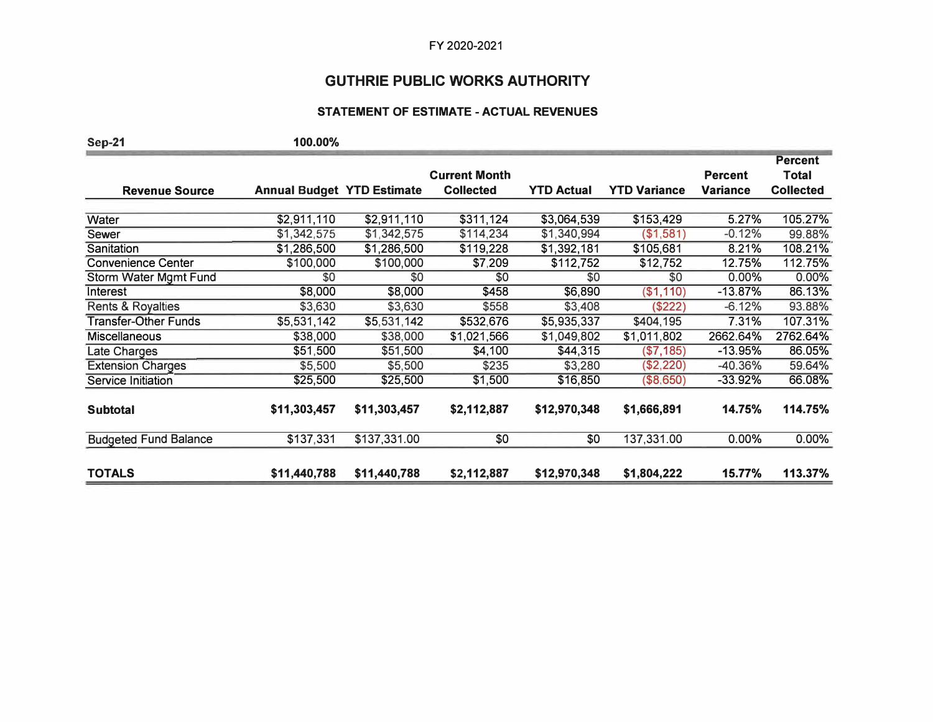# **GUTHRIE PUBLIC WORKS AUTHORITY**

### **STATEMENT OF ESTIMATE - ACTUAL REVENUES**

| <b>Sep-21</b>                | 100.00%                           |              |                      |                   |                     |                 |                  |
|------------------------------|-----------------------------------|--------------|----------------------|-------------------|---------------------|-----------------|------------------|
|                              |                                   |              |                      |                   |                     |                 | <b>Percent</b>   |
|                              |                                   |              | <b>Current Month</b> |                   |                     | <b>Percent</b>  | Total            |
| <b>Revenue Source</b>        | <b>Annual Budget YTD Estimate</b> |              | <b>Collected</b>     | <b>YTD Actual</b> | <b>YTD Variance</b> | <b>Variance</b> | <b>Collected</b> |
| Water                        | \$2,911,110                       | \$2,911,110  | \$311,124            | \$3,064,539       | \$153,429           | 5.27%           | 105.27%          |
| Sewer                        | \$1,342,575                       | \$1,342,575  | \$114,234            | \$1,340,994       | (\$1,581)           | $-0.12%$        | 99.88%           |
| Sanitation                   | \$1,286,500                       | \$1,286,500  | \$119,228            | \$1,392,181       | \$105,681           | 8.21%           | 108.21%          |
| <b>Convenience Center</b>    | \$100,000                         | \$100,000    | \$7,209              | \$112,752         | \$12,752            | 12.75%          | 112.75%          |
| Storm Water Mgmt Fund        | \$0                               | \$0          | \$0                  | \$0               | \$0                 | 0.00%           | 0.00%            |
| Interest                     | \$8,000                           | \$8,000      | \$458                | \$6,890           | (\$1,110)           | $-13.87%$       | 86.13%           |
| <b>Rents &amp; Royalties</b> | \$3,630                           | \$3,630      | \$558                | \$3,408           | (\$222)             | $-6.12%$        | 93.88%           |
| <b>Transfer-Other Funds</b>  | \$5,531,142                       | \$5,531,142  | \$532,676            | \$5,935,337       | \$404,195           | 7.31%           | 107.31%          |
| <b>Miscellaneous</b>         | \$38,000                          | \$38,000     | \$1,021,566          | \$1,049,802       | \$1,011,802         | 2662.64%        | 2762.64%         |
| Late Charges                 | \$51,500                          | \$51,500     | \$4,100              | \$44,315          | (\$7,185)           | -13.95%         | 86.05%           |
| <b>Extension Charges</b>     | \$5,500                           | \$5,500      | \$235                | \$3,280           | (\$2,220)           | -40.36%         | 59.64%           |
| Service Initiation           | \$25,500                          | \$25,500     | \$1,500              | \$16,850          | (\$8,650)           | -33.92%         | 66.08%           |
|                              |                                   |              |                      |                   |                     |                 |                  |
| <b>Subtotal</b>              | \$11,303,457                      | \$11,303,457 | \$2,112,887          | \$12,970,348      | \$1,666,891         | 14.75%          | 114.75%          |
| <b>Budgeted Fund Balance</b> | \$137,331                         | \$137,331.00 | \$0                  | \$0               | 137,331.00          | 0.00%           | 0.00%            |
| <b>TOTALS</b>                | \$11,440,788                      | \$11,440,788 | \$2,112,887          | \$12,970,348      | \$1,804,222         | 15.77%          | 113.37%          |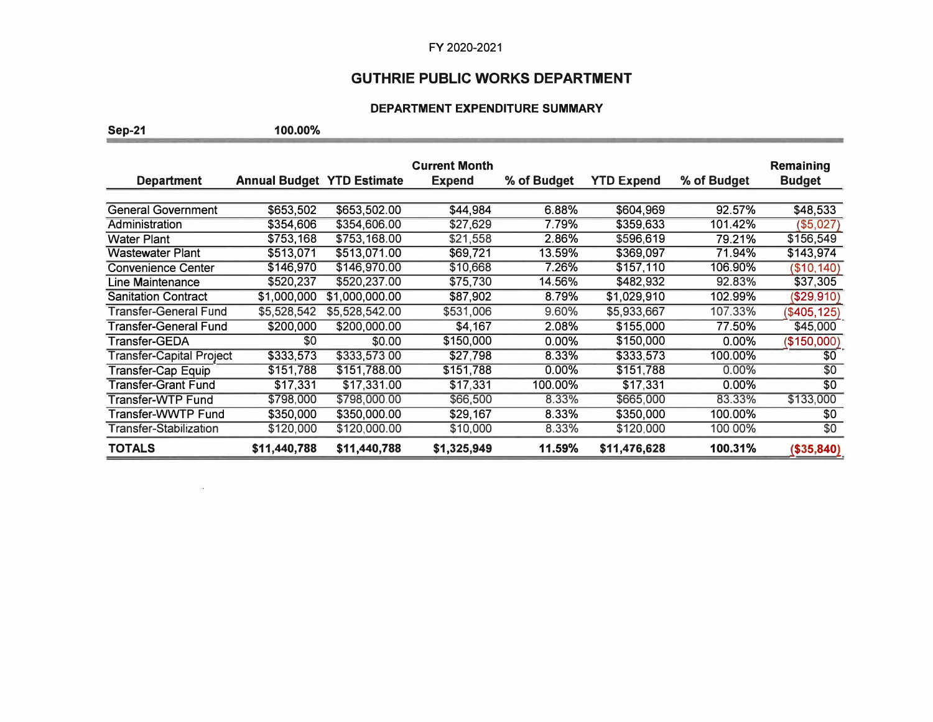# **GUTHRIE PUBLIC WORKS DEPARTMENT**

## **DEPARTMENT EXPENDITURE SUMMARY**

the property of the control of the control of the con-

**Sep-21 100.00%** 

 $\tilde{\mathcal{Z}}$ 

|                                 |                                   |                | <b>Current Month</b> |             |                   |             | <b>Remaining</b> |
|---------------------------------|-----------------------------------|----------------|----------------------|-------------|-------------------|-------------|------------------|
| <b>Department</b>               | <b>Annual Budget YTD Estimate</b> |                | <b>Expend</b>        | % of Budget | <b>YTD Expend</b> | % of Budget | <b>Budget</b>    |
|                                 |                                   |                |                      |             |                   |             |                  |
| <b>General Government</b>       | \$653,502                         | \$653,502.00   | \$44,984             | 6.88%       | \$604,969         | 92.57%      | \$48,533         |
| Administration                  | \$354,606                         | \$354,606.00   | \$27,629             | 7.79%       | \$359,633         | 101.42%     | ( \$5,027)       |
| Water Plant                     | \$753,168                         | \$753,168.00   | \$21,558             | 2.86%       | \$596,619         | 79.21%      | \$156,549        |
| <b>Wastewater Plant</b>         | \$513,071                         | \$513,071.00   | \$69,721             | 13.59%      | \$369,097         | 71.94%      | \$143,974        |
| <b>Convenience Center</b>       | \$146,970                         | \$146,970.00   | \$10,668             | 7.26%       | \$157,110         | 106.90%     | (\$10, 140)      |
| Line Maintenance                | \$520,237                         | \$520,237.00   | \$75,730             | 14.56%      | \$482,932         | 92.83%      | \$37,305         |
| <b>Sanitation Contract</b>      | \$1,000,000                       | \$1,000,000.00 | \$87,902             | 8.79%       | \$1,029,910       | 102.99%     | ( \$29, 910)     |
| Transfer-General Fund           | \$5,528,542                       | \$5,528,542.00 | \$531,006            | 9.60%       | \$5,933,667       | 107.33%     | (\$405, 125)     |
| Transfer-General Fund           | \$200,000                         | \$200,000.00   | \$4,167              | 2.08%       | \$155,000         | 77.50%      | \$45,000         |
| Transfer-GEDA                   | \$0                               | \$0.00         | \$150,000            | $0.00\%$    | \$150,000         | $0.00\%$    | (\$150,000)      |
| <b>Transfer-Capital Project</b> | \$333,573                         | \$333,573.00   | \$27,798             | 8.33%       | \$333,573         | 100.00%     | \$0              |
| Transfer-Cap Equip              | \$151,788                         | \$151,788.00   | \$151,788            | 0.00%       | \$151,788         | $0.00\%$    | \$0              |
| <b>Transfer-Grant Fund</b>      | \$17,331                          | \$17,331.00    | \$17.331             | 100.00%     | \$17.331          | $0.00\%$    | \$0              |
| Transfer-WTP Fund               | \$798,000                         | \$798,000.00   | \$66,500             | 8.33%       | \$665,000         | 83.33%      | \$133,000        |
| Transfer-WWTP Fund              | \$350,000                         | \$350,000.00   | \$29,167             | 8.33%       | \$350,000         | 100.00%     | \$0              |
| <b>Transfer-Stabilization</b>   | \$120,000                         | \$120,000.00   | \$10,000             | 8.33%       | \$120,000         | 100.00%     | \$0              |
| <b>TOTALS</b>                   | \$11,440,788                      | \$11,440,788   | \$1,325,949          | 11.59%      | \$11,476,628      | 100.31%     | (\$35,840)       |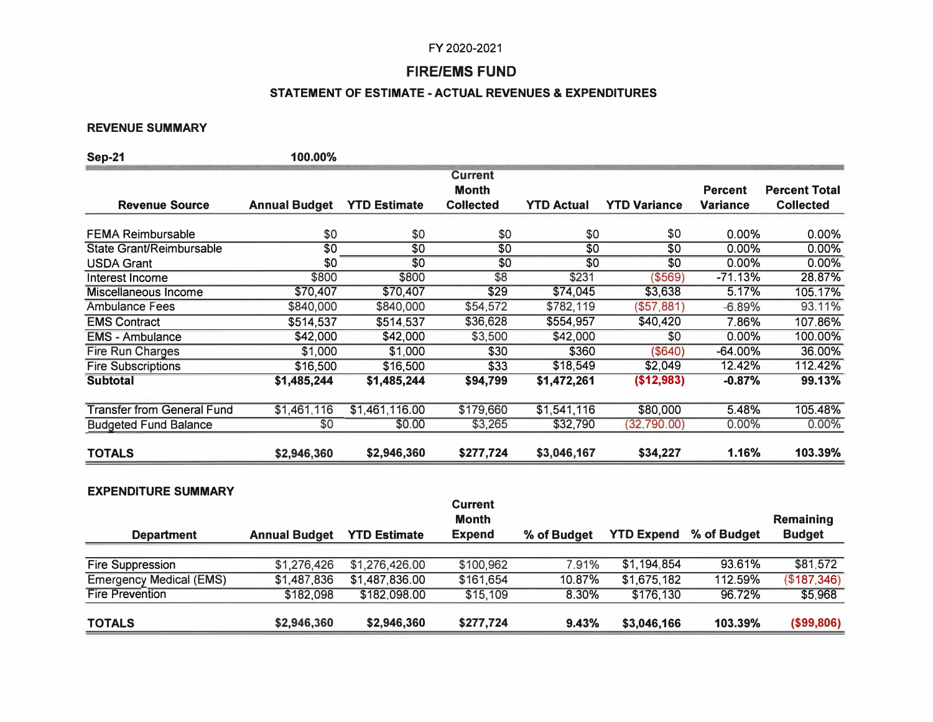## **FIRE/EMS FUND**

## **STATEMENT OF ESTIMATE -ACTUAL REVENUES & EXPENDITURES**

### **REVENUE SUMMARY**

| <b>Sep-21</b>                     | 100.00%              |                     |                                |                   |                     |                 |                      |
|-----------------------------------|----------------------|---------------------|--------------------------------|-------------------|---------------------|-----------------|----------------------|
|                                   |                      |                     | <b>Current</b><br><b>Month</b> |                   |                     | <b>Percent</b>  | <b>Percent Total</b> |
| <b>Revenue Source</b>             | <b>Annual Budget</b> | <b>YTD Estimate</b> | <b>Collected</b>               | <b>YTD Actual</b> | <b>YTD Variance</b> | <b>Variance</b> | <b>Collected</b>     |
| <b>FEMA Reimbursable</b>          | \$0                  | \$0                 | \$0                            | \$0               | \$0                 | 0.00%           | 0.00%                |
| <b>State Grant/Reimbursable</b>   | $\overline{50}$      | \$0                 | \$0                            | $\overline{50}$   | $\overline{50}$     | 0.00%           | 0.00%                |
| <b>USDA Grant</b>                 | \$0                  | \$0                 | \$0                            | \$0               | \$0                 | $0.00\%$        | 0.00%                |
| Interest Income                   | \$800                | \$800               | \$8                            | \$231             | (\$569)             | $-71.13%$       | 28.87%               |
| Miscellaneous Income              | \$70,407             | \$70,407            | \$29                           | \$74,045          | \$3,638             | 5.17%           | 105.17%              |
| <b>Ambulance Fees</b>             | \$840,000            | \$840,000           | \$54,572                       | \$782,119         | (\$57,881)          | $-6.89%$        | 93.11%               |
| <b>EMS Contract</b>               | \$514,537            | \$514,537           | \$36,628                       | \$554,957         | \$40,420            | 7.86%           | 107.86%              |
| <b>EMS - Ambulance</b>            | \$42,000             | \$42,000            | \$3,500                        | \$42,000          | \$0                 | 0.00%           | 100.00%              |
| Fire Run Charges                  | \$1,000              | \$1,000             | \$30                           | \$360             | (\$640)             | $-64.00%$       | 36.00%               |
| <b>Fire Subscriptions</b>         | \$16,500             | \$16,500            | \$33                           | \$18,549          | \$2,049             | 12.42%          | 112.42%              |
| <b>Subtotal</b>                   | \$1,485,244          | \$1,485,244         | \$94,799                       | \$1,472,261       | (\$12,983)          | $-0.87%$        | 99.13%               |
| <b>Transfer from General Fund</b> | \$1,461,116          | \$1,461,116.00      | \$179,660                      | \$1,541,116       | \$80,000            | 5.48%           | 105.48%              |
| <b>Budgeted Fund Balance</b>      | \$0                  | \$0.00              | \$3,265                        | \$32,790          | (32,790.00)         | $0.00\%$        | 0.00%                |
| <b>TOTALS</b>                     | \$2,946,360          | \$2,946,360         | \$277,724                      | \$3,046,167       | \$34,227            | 1.16%           | 103.39%              |

#### **EXPENDITURE SUMMARY**

| Remaining     |
|---------------|
| <b>Budget</b> |
|               |
| \$81,572      |
| (\$187,346)   |
| \$5,968       |
|               |
| (\$99,806)    |
|               |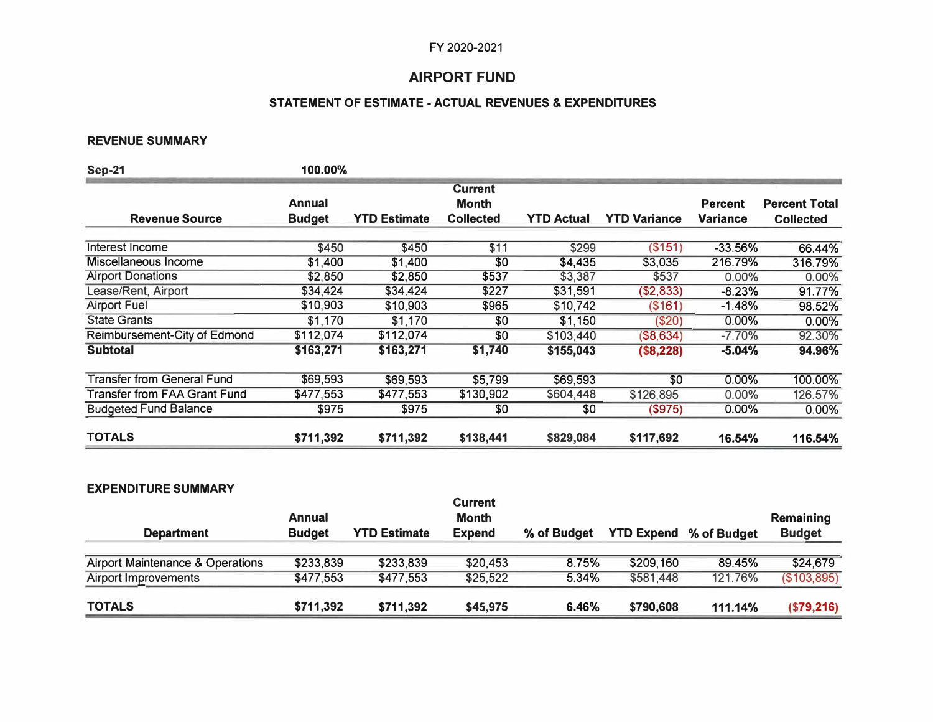## **AIRPORT FUND**

## **STATEMENT OF ESTIMATE - ACTUAL REVENUES & EXPENDITURES**

## **REVENUE SUMMARY**

| <b>Sep-21</b>                       | 100.00%       |                     |                                |                   |                     |                 |                      |
|-------------------------------------|---------------|---------------------|--------------------------------|-------------------|---------------------|-----------------|----------------------|
|                                     | Annual        |                     | <b>Current</b><br><b>Month</b> |                   |                     | <b>Percent</b>  | <b>Percent Total</b> |
| <b>Revenue Source</b>               | <b>Budget</b> | <b>YTD Estimate</b> | <b>Collected</b>               | <b>YTD Actual</b> | <b>YTD Variance</b> | <b>Variance</b> | <b>Collected</b>     |
| Interest Income                     | \$450         | \$450               | \$11                           | \$299             | (\$151)             | $-33.56%$       | 66.44%               |
| Miscellaneous Income                | \$1,400       | \$1,400             | \$0                            | \$4,435           | \$3,035             | 216.79%         | 316.79%              |
| <b>Airport Donations</b>            | \$2,850       | \$2,850             | \$537                          | \$3,387           | \$537               | 0.00%           | 0.00%                |
| Lease/Rent, Airport                 | \$34,424      | \$34,424            | \$227                          | \$31,591          | (\$2,833)           | -8.23%          | 91.77%               |
| <b>Airport Fuel</b>                 | \$10,903      | \$10,903            | \$965                          | \$10,742          | (\$161)             | -1.48%          | 98.52%               |
| <b>State Grants</b>                 | \$1,170       | \$1,170             | \$0                            | \$1,150           | (\$20)              | 0.00%           | 0.00%                |
| Reimbursement-City of Edmond        | \$112,074     | \$112,074           | \$0                            | \$103,440         | (\$8,634)           | $-7.70%$        | 92.30%               |
| <b>Subtotal</b>                     | \$163,271     | \$163,271           | \$1,740                        | \$155,043         | (\$8,228)           | $-5.04%$        | 94.96%               |
| <b>Transfer from General Fund</b>   | \$69,593      | \$69,593            | \$5,799                        | \$69,593          | \$0                 | $0.00\%$        | 100.00%              |
| <b>Transfer from FAA Grant Fund</b> | \$477,553     | \$477,553           | \$130,902                      | \$604,448         | \$126,895           | 0.00%           | 126.57%              |
| <b>Budgeted Fund Balance</b>        | \$975         | \$975               | \$0                            | \$0               | (\$975)             | 0.00%           | $0.00\%$             |
| <b>TOTALS</b>                       | \$711,392     | \$711,392           | \$138,441                      | \$829,084         | \$117,692           | 16.54%          | 116.54%              |

## **EXPENDITURE SUMMARY**

| <b>Department</b>                | Annual<br><b>Budget</b> | <b>YTD Estimate</b> | <b>Current</b><br><b>Month</b><br><b>Expend</b> | % of Budget | <b>YTD Expend</b> % of Budget |         | Remaining<br><b>Budget</b> |
|----------------------------------|-------------------------|---------------------|-------------------------------------------------|-------------|-------------------------------|---------|----------------------------|
|                                  |                         |                     |                                                 |             |                               |         |                            |
| Airport Maintenance & Operations | \$233,839               | \$233,839           | \$20,453                                        | 8.75%       | \$209,160                     | 89.45%  | \$24,679                   |
| <b>Airport Improvements</b>      | \$477,553               | \$477,553           | \$25,522                                        | 5.34%       | \$581,448                     | 121.76% | (\$103,895)                |
| <b>TOTALS</b>                    | \$711,392               | \$711,392           | \$45,975                                        | 6.46%       | \$790,608                     | 111.14% | ( \$79, 216)               |